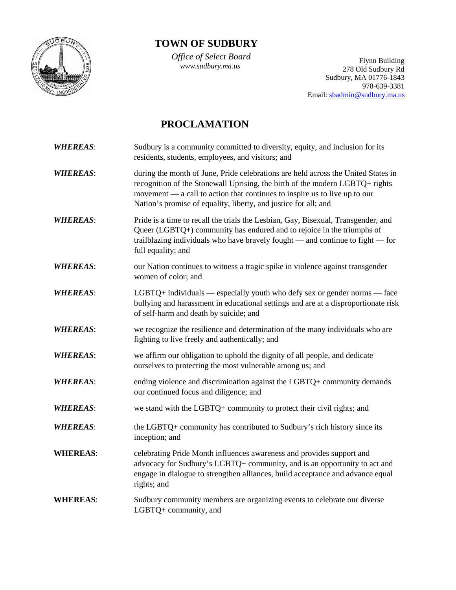

## **TOWN OF SUDBURY**

 *Office of Select Board*

*V*JJice *of Select Board*<br> *www.sudbury.ma.us* Plynn Building<br>
278 Old Sudbury Rd Sudbury, MA 01776-1843 978-639-3381 Email: [sbadmin@sudbury.ma.us](mailto:sbadmin@sudbury.ma.us)

# **PROCLAMATION**

| <b>WHEREAS:</b> | Sudbury is a community committed to diversity, equity, and inclusion for its<br>residents, students, employees, and visitors; and                                                                                                                                                                                  |
|-----------------|--------------------------------------------------------------------------------------------------------------------------------------------------------------------------------------------------------------------------------------------------------------------------------------------------------------------|
| <b>WHEREAS:</b> | during the month of June, Pride celebrations are held across the United States in<br>recognition of the Stonewall Uprising, the birth of the modern LGBTQ+ rights<br>movement — a call to action that continues to inspire us to live up to our<br>Nation's promise of equality, liberty, and justice for all; and |
| <b>WHEREAS:</b> | Pride is a time to recall the trials the Lesbian, Gay, Bisexual, Transgender, and<br>Queer $(LGBTQ+)$ community has endured and to rejoice in the triumphs of<br>trailblazing individuals who have bravely fought - and continue to fight - for<br>full equality; and                                              |
| <b>WHEREAS:</b> | our Nation continues to witness a tragic spike in violence against transgender<br>women of color; and                                                                                                                                                                                                              |
| <b>WHEREAS:</b> | $LGBTQ+$ individuals — especially youth who defy sex or gender norms — face<br>bullying and harassment in educational settings and are at a disproportionate risk<br>of self-harm and death by suicide; and                                                                                                        |
| <b>WHEREAS:</b> | we recognize the resilience and determination of the many individuals who are<br>fighting to live freely and authentically; and                                                                                                                                                                                    |
| <b>WHEREAS:</b> | we affirm our obligation to uphold the dignity of all people, and dedicate<br>ourselves to protecting the most vulnerable among us; and                                                                                                                                                                            |
| <b>WHEREAS:</b> | ending violence and discrimination against the LGBTQ+ community demands<br>our continued focus and diligence; and                                                                                                                                                                                                  |
| <b>WHEREAS:</b> | we stand with the LGBTQ+ community to protect their civil rights; and                                                                                                                                                                                                                                              |
| <b>WHEREAS:</b> | the LGBTQ+ community has contributed to Sudbury's rich history since its<br>inception; and                                                                                                                                                                                                                         |
| <b>WHEREAS:</b> | celebrating Pride Month influences awareness and provides support and<br>advocacy for Sudbury's LGBTQ+ community, and is an opportunity to act and<br>engage in dialogue to strengthen alliances, build acceptance and advance equal<br>rights; and                                                                |
| <b>WHEREAS:</b> | Sudbury community members are organizing events to celebrate our diverse<br>LGBTQ+ community, and                                                                                                                                                                                                                  |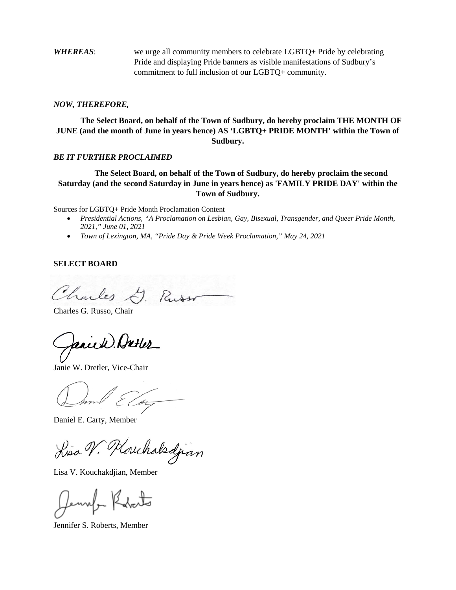*WHEREAS*: we urge all community members to celebrate LGBTQ+ Pride by celebrating Pride and displaying Pride banners as visible manifestations of Sudbury's commitment to full inclusion of our LGBTQ+ community.

#### *NOW, THEREFORE,*

**The Select Board, on behalf of the Town of Sudbury, do hereby proclaim THE MONTH OF JUNE (and the month of June in years hence) AS 'LGBTQ+ PRIDE MONTH' within the Town of Sudbury.**

#### *BE IT FURTHER PROCLAIMED*

### **The Select Board, on behalf of the Town of Sudbury, do hereby proclaim the second Saturday (and the second Saturday in June in years hence) as 'FAMILY PRIDE DAY' within the Town of Sudbury.**

Sources for LGBTQ+ Pride Month Proclamation Content

- *Presidential Actions, "A Proclamation on Lesbian, Gay, Bisexual, Transgender, and Queer Pride Month, 2021," June 01, 2021*
- *Town of Lexington, MA, "Pride Day & Pride Week Proclamation," May 24, 2021*

#### **SELECT BOARD**

Charles J. Russo

Charles G. Russo, Chair

anick). Anter

Janie W. Dretler, Vice-Chair

Daniel E. Carty, Member

Lisa V. Kouchalsdjian

Lisa V. Kouchakdjian, Member

Jennefa Kabato

Jennifer S. Roberts, Member